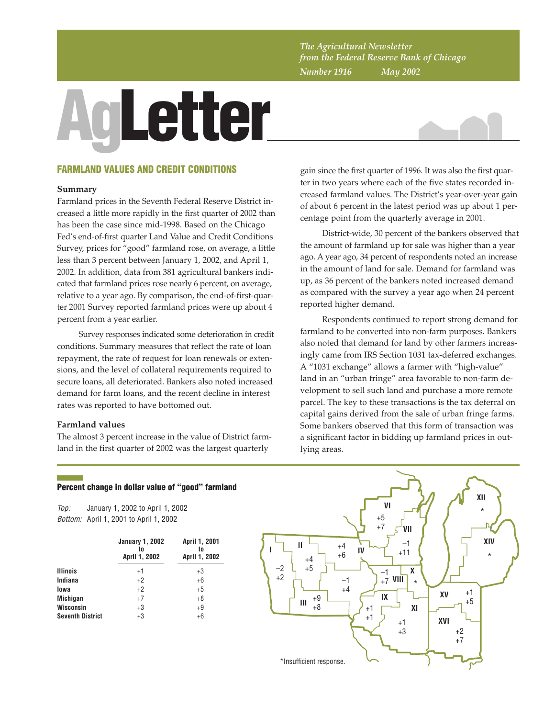*The Agricultural Newsletter from the Federal Reserve Bank of Chicago Number 1916 May 2002*

# **AgLetter**



# **FARMLAND VALUES AND CREDIT CONDITIONS**

### **Summary**

Farmland prices in the Seventh Federal Reserve District increased a little more rapidly in the first quarter of 2002 than has been the case since mid-1998. Based on the Chicago Fed's end-of-first quarter Land Value and Credit Conditions Survey, prices for "good" farmland rose, on average, a little less than 3 percent between January 1, 2002, and April 1, 2002. In addition, data from 381 agricultural bankers indicated that farmland prices rose nearly 6 percent, on average, relative to a year ago. By comparison, the end-of-first-quarter 2001 Survey reported farmland prices were up about 4 percent from a year earlier.

Survey responses indicated some deterioration in credit conditions. Summary measures that reflect the rate of loan repayment, the rate of request for loan renewals or extensions, and the level of collateral requirements required to secure loans, all deteriorated. Bankers also noted increased demand for farm loans, and the recent decline in interest rates was reported to have bottomed out.

# **Farmland values**

The almost 3 percent increase in the value of District farmland in the first quarter of 2002 was the largest quarterly

gain since the first quarter of 1996. It was also the first quarter in two years where each of the five states recorded increased farmland values. The District's year-over-year gain of about 6 percent in the latest period was up about 1 percentage point from the quarterly average in 2001.

District-wide, 30 percent of the bankers observed that the amount of farmland up for sale was higher than a year ago. A year ago, 34 percent of respondents noted an increase in the amount of land for sale. Demand for farmland was up, as 36 percent of the bankers noted increased demand as compared with the survey a year ago when 24 percent reported higher demand.

Respondents continued to report strong demand for farmland to be converted into non-farm purposes. Bankers also noted that demand for land by other farmers increasingly came from IRS Section 1031 tax-deferred exchanges. A "1031 exchange" allows a farmer with "high-value" land in an "urban fringe" area favorable to non-farm development to sell such land and purchase a more remote parcel. The key to these transactions is the tax deferral on capital gains derived from the sale of urban fringe farms. Some bankers observed that this form of transaction was a significant factor in bidding up farmland prices in outlying areas.

# **Percent change in dollar value of "good" farmland**

Top: Bottom: April 1, 2001 to April 1, 2002 January 1, 2002 to April 1, 2002

|                         | <b>January 1, 2002</b><br>to<br>April 1, 2002 | April 1, 2001<br>to<br>April 1, 2002 |  |  |
|-------------------------|-----------------------------------------------|--------------------------------------|--|--|
| <b>Illinois</b>         | $+1$                                          | +3                                   |  |  |
| Indiana                 | $+2$                                          | $+6$                                 |  |  |
| lowa                    | $+2$                                          | $+5$                                 |  |  |
| <b>Michigan</b>         | $+7$                                          | $+8$                                 |  |  |
| <b>Wisconsin</b>        | $+3$                                          | $+9$                                 |  |  |
| <b>Seventh District</b> | $+3$                                          | $+6$                                 |  |  |

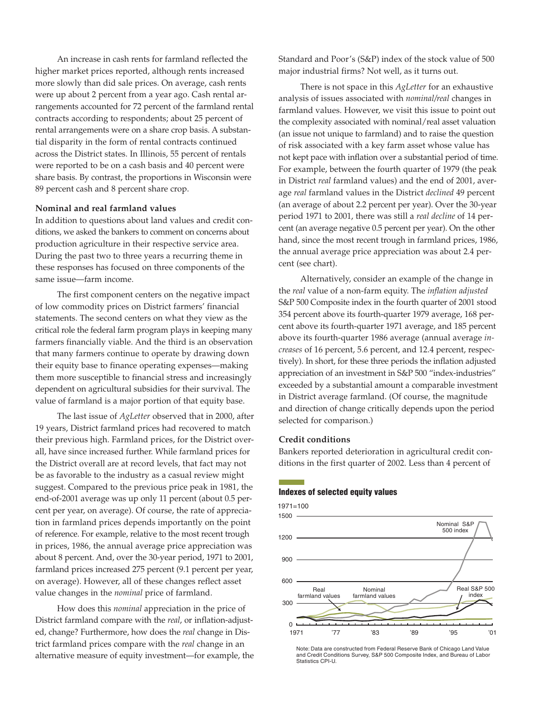An increase in cash rents for farmland reflected the higher market prices reported, although rents increased more slowly than did sale prices. On average, cash rents were up about 2 percent from a year ago. Cash rental arrangements accounted for 72 percent of the farmland rental contracts according to respondents; about 25 percent of rental arrangements were on a share crop basis. A substantial disparity in the form of rental contracts continued across the District states. In Illinois, 55 percent of rentals were reported to be on a cash basis and 40 percent were share basis. By contrast, the proportions in Wisconsin were 89 percent cash and 8 percent share crop.

### **Nominal and real farmland values**

In addition to questions about land values and credit conditions, we asked the bankers to comment on concerns about production agriculture in their respective service area. During the past two to three years a recurring theme in these responses has focused on three components of the same issue—farm income.

The first component centers on the negative impact of low commodity prices on District farmers' financial statements. The second centers on what they view as the critical role the federal farm program plays in keeping many farmers financially viable. And the third is an observation that many farmers continue to operate by drawing down their equity base to finance operating expenses—making them more susceptible to financial stress and increasingly dependent on agricultural subsidies for their survival. The value of farmland is a major portion of that equity base.

The last issue of *AgLetter* observed that in 2000, after 19 years, District farmland prices had recovered to match their previous high. Farmland prices, for the District overall, have since increased further. While farmland prices for the District overall are at record levels, that fact may not be as favorable to the industry as a casual review might suggest. Compared to the previous price peak in 1981, the end-of-2001 average was up only 11 percent (about 0.5 percent per year, on average). Of course, the rate of appreciation in farmland prices depends importantly on the point of reference. For example, relative to the most recent trough in prices, 1986, the annual average price appreciation was about 8 percent. And, over the 30-year period, 1971 to 2001, farmland prices increased 275 percent (9.1 percent per year, on average). However, all of these changes reflect asset value changes in the *nominal* price of farmland.

How does this *nominal* appreciation in the price of District farmland compare with the *real*, or inflation-adjusted, change? Furthermore, how does the *real* change in District farmland prices compare with the *real* change in an alternative measure of equity investment—for example, the Standard and Poor's (S&P) index of the stock value of 500 major industrial firms? Not well, as it turns out.

There is not space in this *AgLetter* for an exhaustive analysis of issues associated with *nominal/real* changes in farmland values. However, we visit this issue to point out the complexity associated with nominal/real asset valuation (an issue not unique to farmland) and to raise the question of risk associated with a key farm asset whose value has not kept pace with inflation over a substantial period of time. For example, between the fourth quarter of 1979 (the peak in District *real* farmland values) and the end of 2001, average *real* farmland values in the District *declined* 49 percent (an average of about 2.2 percent per year). Over the 30-year period 1971 to 2001, there was still a *real decline* of 14 percent (an average negative 0.5 percent per year). On the other hand, since the most recent trough in farmland prices, 1986, the annual average price appreciation was about 2.4 percent (see chart).

Alternatively, consider an example of the change in the *real* value of a non-farm equity. The *inflation adjusted* S&P 500 Composite index in the fourth quarter of 2001 stood 354 percent above its fourth-quarter 1979 average, 168 percent above its fourth-quarter 1971 average, and 185 percent above its fourth-quarter 1986 average (annual average *increases* of 16 percent, 5.6 percent, and 12.4 percent, respectively). In short, for these three periods the inflation adjusted appreciation of an investment in S&P 500 "index-industries" exceeded by a substantial amount a comparable investment in District average farmland. (Of course, the magnitude and direction of change critically depends upon the period selected for comparison.)

### **Credit conditions**

Bankers reported deterioration in agricultural credit conditions in the first quarter of 2002. Less than 4 percent of

### **Indexes of selected equity values**



Note: Data are constructed from Federal Reserve Bank of Chicago Land Value and Credit Conditions Survey, S&P 500 Composite Index, and Bureau of Labor Statistics CPI-U.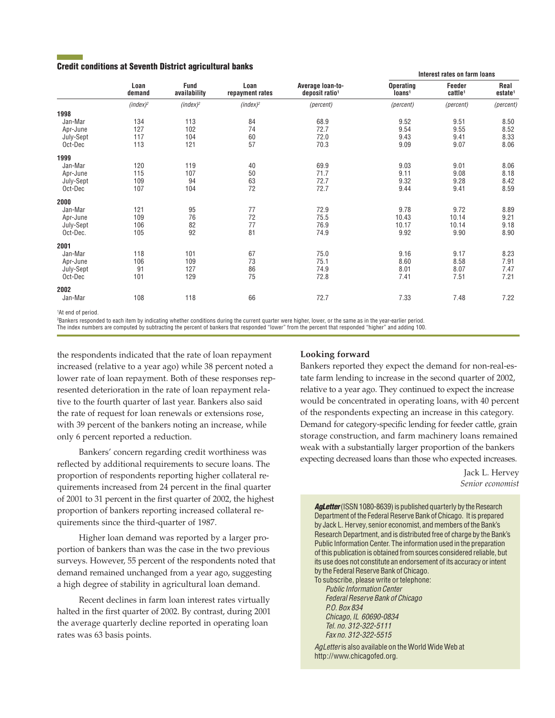## **Credit conditions at Seventh District agricultural banks**

|           |                | <b>Fund</b><br>availability | Loan<br>repayment rates | Average loan-to-<br>deposit ratio <sup>1</sup> | <u>INCRESTIQUES UN IGNUM IUQUIS</u>    |                               |                             |
|-----------|----------------|-----------------------------|-------------------------|------------------------------------------------|----------------------------------------|-------------------------------|-----------------------------|
|           | Loan<br>demand |                             |                         |                                                | <b>Operating</b><br>Ioans <sup>1</sup> | Feeder<br>cattle <sup>1</sup> | Real<br>estate <sup>1</sup> |
|           | $(index)^2$    | $(index)^2$                 | $(index)^2$             | (percent)                                      | (percent)                              | (percent)                     | (percent)                   |
| 1998      |                |                             |                         |                                                |                                        |                               |                             |
| Jan-Mar   | 134            | 113                         | 84                      | 68.9                                           | 9.52                                   | 9.51                          | 8.50                        |
| Apr-June  | 127            | 102                         | 74                      | 72.7                                           | 9.54                                   | 9.55                          | 8.52                        |
| July-Sept | 117            | 104                         | 60                      | 72.0                                           | 9.43                                   | 9.41                          | 8.33                        |
| Oct-Dec   | 113            | 121                         | 57                      | 70.3                                           | 9.09                                   | 9.07                          | 8.06                        |
| 1999      |                |                             |                         |                                                |                                        |                               |                             |
| Jan-Mar   | 120            | 119                         | 40                      | 69.9                                           | 9.03                                   | 9.01                          | 8.06                        |
| Apr-June  | 115            | 107                         | 50                      | 71.7                                           | 9.11                                   | 9.08                          | 8.18                        |
| July-Sept | 109            | 94                          | 63                      | 72.7                                           | 9.32                                   | 9.28                          | 8.42                        |
| Oct-Dec   | 107            | 104                         | 72                      | 72.7                                           | 9.44                                   | 9.41                          | 8.59                        |
| 2000      |                |                             |                         |                                                |                                        |                               |                             |
| Jan-Mar   | 121            | 95                          | 77                      | 72.9                                           | 9.78                                   | 9.72                          | 8.89                        |
| Apr-June  | 109            | 76                          | 72                      | 75.5                                           | 10.43                                  | 10.14                         | 9.21                        |
| July-Sept | 106            | 82                          | 77                      | 76.9                                           | 10.17                                  | 10.14                         | 9.18                        |
| Oct-Dec.  | 105            | 92                          | 81                      | 74.9                                           | 9.92                                   | 9.90                          | 8.90                        |
| 2001      |                |                             |                         |                                                |                                        |                               |                             |
| Jan-Mar   | 118            | 101                         | 67                      | 75.0                                           | 9.16                                   | 9.17                          | 8.23                        |
| Apr-June  | 106            | 109                         | 73                      | 75.1                                           | 8.60                                   | 8.58                          | 7.91                        |
| July-Sept | 91             | 127                         | 86                      | 74.9                                           | 8.01                                   | 8.07                          | 7.47                        |
| Oct-Dec   | 101            | 129                         | 75                      | 72.8                                           | 7.41                                   | 7.51                          | 7.21                        |
| 2002      |                |                             |                         |                                                |                                        |                               |                             |
| Jan-Mar   | 108            | 118                         | 66                      | 72.7                                           | 7.33                                   | 7.48                          | 7.22                        |
|           |                |                             |                         |                                                |                                        |                               |                             |

1 At end of period.

2 Bankers responded to each item by indicating whether conditions during the current quarter were higher, lower, or the same as in the year-earlier period. The index numbers are computed by subtracting the percent of bankers that responded "lower" from the percent that responded "higher" and adding 100.

the respondents indicated that the rate of loan repayment increased (relative to a year ago) while 38 percent noted a lower rate of loan repayment. Both of these responses represented deterioration in the rate of loan repayment relative to the fourth quarter of last year. Bankers also said the rate of request for loan renewals or extensions rose, with 39 percent of the bankers noting an increase, while only 6 percent reported a reduction.

Bankers' concern regarding credit worthiness was reflected by additional requirements to secure loans. The proportion of respondents reporting higher collateral requirements increased from 24 percent in the final quarter of 2001 to 31 percent in the first quarter of 2002, the highest proportion of bankers reporting increased collateral requirements since the third-quarter of 1987.

Higher loan demand was reported by a larger proportion of bankers than was the case in the two previous surveys. However, 55 percent of the respondents noted that demand remained unchanged from a year ago, suggesting a high degree of stability in agricultural loan demand.

Recent declines in farm loan interest rates virtually halted in the first quarter of 2002. By contrast, during 2001 the average quarterly decline reported in operating loan rates was 63 basis points.

# **Looking forward**

Bankers reported they expect the demand for non-real-estate farm lending to increase in the second quarter of 2002, relative to a year ago. They continued to expect the increase would be concentrated in operating loans, with 40 percent of the respondents expecting an increase in this category. Demand for category-specific lending for feeder cattle, grain storage construction, and farm machinery loans remained weak with a substantially larger proportion of the bankers expecting decreased loans than those who expected increases.

**Interest rates on farm loans**

Jack L. Hervey *Senior economist*

**AgLetter** (ISSN 1080-8639) is published quarterly by the Research Department of the Federal Reserve Bank of Chicago. It is prepared by Jack L. Hervey, senior economist, and members of the Bank's Research Department, and is distributed free of charge by the Bank's Public Information Center. The information used in the preparation of this publication is obtained from sources considered reliable, but its use does not constitute an endorsement of its accuracy or intent by the Federal Reserve Bank of Chicago.

To subscribe, please write or telephone: Public Information Center Federal Reserve Bank of Chicago P.O. Box 834 Chicago, IL 60690-0834 Tel. no. 312-322-5111 Fax no. 312-322-5515

AgLetter is also available on the World Wide Web at http://www.chicagofed.org.